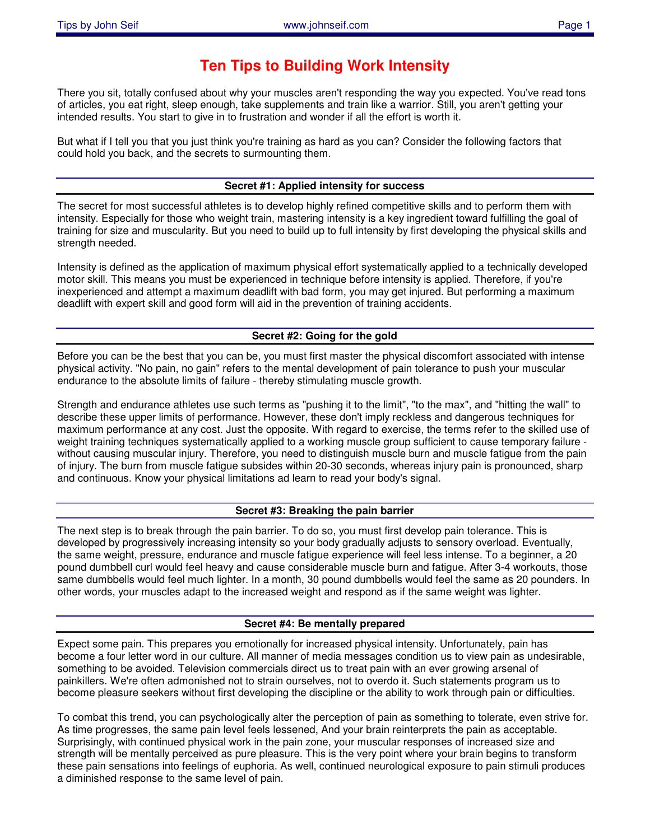# **Ten Tips to Building Work Intensity**

There you sit, totally confused about why your muscles aren't responding the way you expected. You've read tons of articles, you eat right, sleep enough, take supplements and train like a warrior. Still, you aren't getting your intended results. You start to give in to frustration and wonder if all the effort is worth it.

But what if I tell you that you just think you're training as hard as you can? Consider the following factors that could hold you back, and the secrets to surmounting them.

# **Secret #1: Applied intensity for success**

The secret for most successful athletes is to develop highly refined competitive skills and to perform them with intensity. Especially for those who weight train, mastering intensity is a key ingredient toward fulfilling the goal of training for size and muscularity. But you need to build up to full intensity by first developing the physical skills and strength needed.

Intensity is defined as the application of maximum physical effort systematically applied to a technically developed motor skill. This means you must be experienced in technique before intensity is applied. Therefore, if you're inexperienced and attempt a maximum deadlift with bad form, you may get injured. But performing a maximum deadlift with expert skill and good form will aid in the prevention of training accidents.

# **Secret #2: Going for the gold**

Before you can be the best that you can be, you must first master the physical discomfort associated with intense physical activity. "No pain, no gain" refers to the mental development of pain tolerance to push your muscular endurance to the absolute limits of failure - thereby stimulating muscle growth.

Strength and endurance athletes use such terms as "pushing it to the limit", "to the max", and "hitting the wall" to describe these upper limits of performance. However, these don't imply reckless and dangerous techniques for maximum performance at any cost. Just the opposite. With regard to exercise, the terms refer to the skilled use of weight training techniques systematically applied to a working muscle group sufficient to cause temporary failure without causing muscular injury. Therefore, you need to distinguish muscle burn and muscle fatigue from the pain of injury. The burn from muscle fatigue subsides within 20-30 seconds, whereas injury pain is pronounced, sharp and continuous. Know your physical limitations ad learn to read your body's signal.

# **Secret #3: Breaking the pain barrier**

The next step is to break through the pain barrier. To do so, you must first develop pain tolerance. This is developed by progressively increasing intensity so your body gradually adjusts to sensory overload. Eventually, the same weight, pressure, endurance and muscle fatigue experience will feel less intense. To a beginner, a 20 pound dumbbell curl would feel heavy and cause considerable muscle burn and fatigue. After 3-4 workouts, those same dumbbells would feel much lighter. In a month, 30 pound dumbbells would feel the same as 20 pounders. In other words, your muscles adapt to the increased weight and respond as if the same weight was lighter.

# **Secret #4: Be mentally prepared**

Expect some pain. This prepares you emotionally for increased physical intensity. Unfortunately, pain has become a four letter word in our culture. All manner of media messages condition us to view pain as undesirable, something to be avoided. Television commercials direct us to treat pain with an ever growing arsenal of painkillers. We're often admonished not to strain ourselves, not to overdo it. Such statements program us to become pleasure seekers without first developing the discipline or the ability to work through pain or difficulties.

To combat this trend, you can psychologically alter the perception of pain as something to tolerate, even strive for. As time progresses, the same pain level feels lessened, And your brain reinterprets the pain as acceptable. Surprisingly, with continued physical work in the pain zone, your muscular responses of increased size and strength will be mentally perceived as pure pleasure. This is the very point where your brain begins to transform these pain sensations into feelings of euphoria. As well, continued neurological exposure to pain stimuli produces a diminished response to the same level of pain.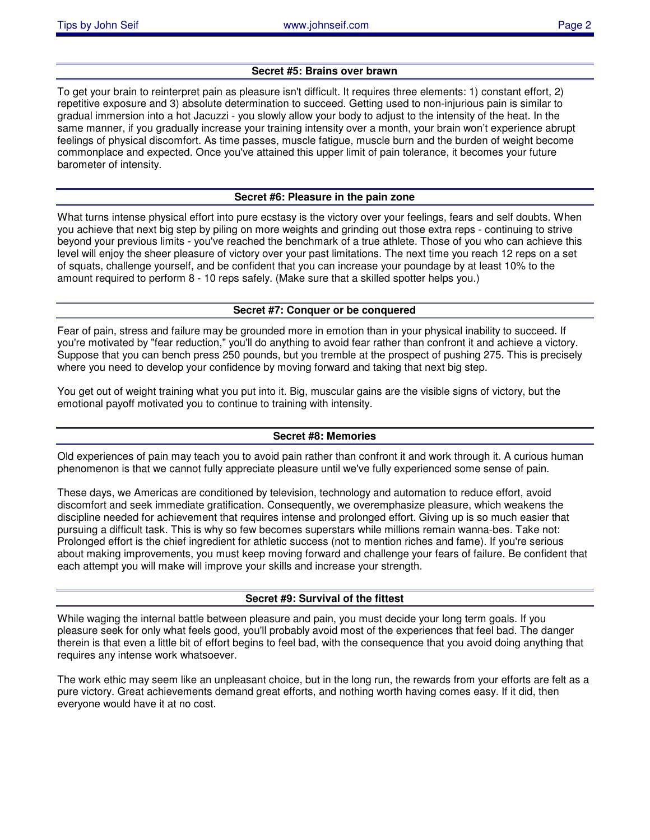## **Secret #5: Brains over brawn**

To get your brain to reinterpret pain as pleasure isn't difficult. It requires three elements: 1) constant effort, 2) repetitive exposure and 3) absolute determination to succeed. Getting used to non-injurious pain is similar to gradual immersion into a hot Jacuzzi - you slowly allow your body to adjust to the intensity of the heat. In the same manner, if you gradually increase your training intensity over a month, your brain won't experience abrupt feelings of physical discomfort. As time passes, muscle fatigue, muscle burn and the burden of weight become commonplace and expected. Once you've attained this upper limit of pain tolerance, it becomes your future barometer of intensity.

## **Secret #6: Pleasure in the pain zone**

What turns intense physical effort into pure ecstasy is the victory over your feelings, fears and self doubts. When you achieve that next big step by piling on more weights and grinding out those extra reps - continuing to strive beyond your previous limits - you've reached the benchmark of a true athlete. Those of you who can achieve this level will enjoy the sheer pleasure of victory over your past limitations. The next time you reach 12 reps on a set of squats, challenge yourself, and be confident that you can increase your poundage by at least 10% to the amount required to perform 8 - 10 reps safely. (Make sure that a skilled spotter helps you.)

#### **Secret #7: Conquer or be conquered**

Fear of pain, stress and failure may be grounded more in emotion than in your physical inability to succeed. If you're motivated by "fear reduction," you'll do anything to avoid fear rather than confront it and achieve a victory. Suppose that you can bench press 250 pounds, but you tremble at the prospect of pushing 275. This is precisely where you need to develop your confidence by moving forward and taking that next big step.

You get out of weight training what you put into it. Big, muscular gains are the visible signs of victory, but the emotional payoff motivated you to continue to training with intensity.

# **Secret #8: Memories**

Old experiences of pain may teach you to avoid pain rather than confront it and work through it. A curious human phenomenon is that we cannot fully appreciate pleasure until we've fully experienced some sense of pain.

These days, we Americas are conditioned by television, technology and automation to reduce effort, avoid discomfort and seek immediate gratification. Consequently, we overemphasize pleasure, which weakens the discipline needed for achievement that requires intense and prolonged effort. Giving up is so much easier that pursuing a difficult task. This is why so few becomes superstars while millions remain wanna-bes. Take not: Prolonged effort is the chief ingredient for athletic success (not to mention riches and fame). If you're serious about making improvements, you must keep moving forward and challenge your fears of failure. Be confident that each attempt you will make will improve your skills and increase your strength.

# **Secret #9: Survival of the fittest**

While waging the internal battle between pleasure and pain, you must decide your long term goals. If you pleasure seek for only what feels good, you'll probably avoid most of the experiences that feel bad. The danger therein is that even a little bit of effort begins to feel bad, with the consequence that you avoid doing anything that requires any intense work whatsoever.

The work ethic may seem like an unpleasant choice, but in the long run, the rewards from your efforts are felt as a pure victory. Great achievements demand great efforts, and nothing worth having comes easy. If it did, then everyone would have it at no cost.